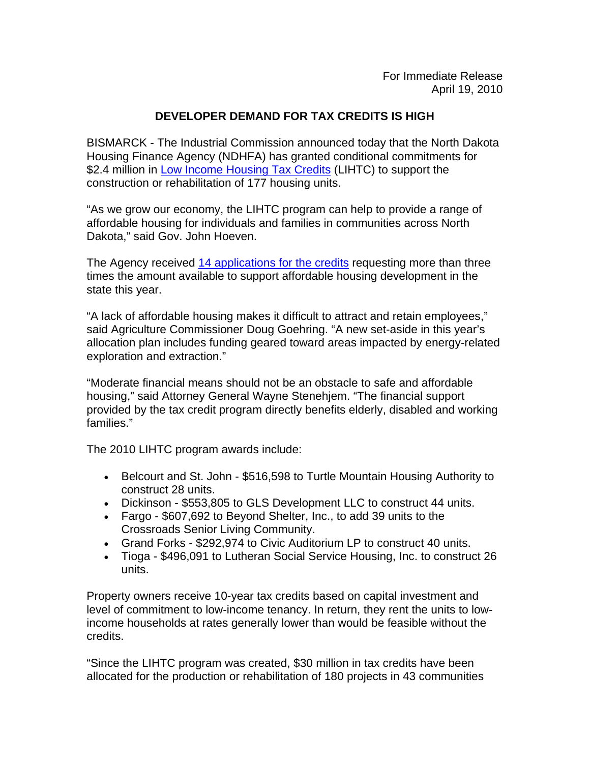## **DEVELOPER DEMAND FOR TAX CREDITS IS HIGH**

BISMARCK - The Industrial Commission announced today that the North Dakota Housing Finance Agency (NDHFA) has granted conditional commitments for \$2.4 million in [Low Income Housing Tax Credits](http://www.ndhfa.state.nd.us/Default.asp?nMenu=05019) (LIHTC) to support the construction or rehabilitation of 177 housing units.

"As we grow our economy, the LIHTC program can help to provide a range of affordable housing for individuals and families in communities across North Dakota," said Gov. John Hoeven.

The Agency received [14 applications for the credits](http://www.ndhfa.org/Web_Images/2010webapplicationlist-firstround.pdf) requesting more than three times the amount available to support affordable housing development in the state this year.

"A lack of affordable housing makes it difficult to attract and retain employees," said Agriculture Commissioner Doug Goehring. "A new set-aside in this year's allocation plan includes funding geared toward areas impacted by energy-related exploration and extraction."

"Moderate financial means should not be an obstacle to safe and affordable housing," said Attorney General Wayne Stenehjem. "The financial support provided by the tax credit program directly benefits elderly, disabled and working families."

The 2010 LIHTC program awards include:

- Belcourt and St. John \$516,598 to Turtle Mountain Housing Authority to construct 28 units.
- Dickinson \$553,805 to GLS Development LLC to construct 44 units.
- Fargo \$607,692 to Beyond Shelter, Inc., to add 39 units to the Crossroads Senior Living Community.
- Grand Forks \$292,974 to Civic Auditorium LP to construct 40 units.
- Tioga \$496,091 to Lutheran Social Service Housing, Inc. to construct 26 units.

Property owners receive 10-year tax credits based on capital investment and level of commitment to low-income tenancy. In return, they rent the units to lowincome households at rates generally lower than would be feasible without the credits.

"Since the LIHTC program was created, \$30 million in tax credits have been allocated for the production or rehabilitation of 180 projects in 43 communities